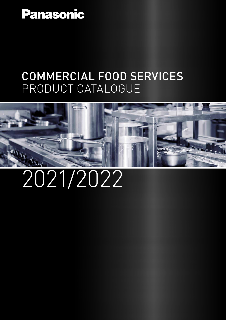### Panasonic

### COMMERCIAL FOOD SERVICES PRODUCT CATALOGUE



# 2021/2022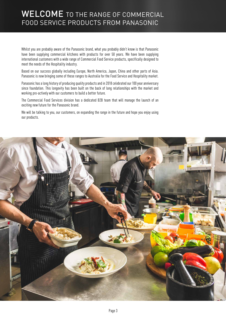#### WELCOME TO THE RANGE OF COMMERCIAL FOOD SERVICE PRODUCTS FROM PANASONIC

Whilst you are probably aware of the Panasonic brand, what you probably didn't know is that Panasonic have been supplying commercial kitchens with products for over 50 years. We have been supplying international customers with a wide range of Commercial Food Service products, specifically designed to meet the needs of the Hospitality industry.

Based on our success globally including Europe, North America, Japan, China and other parts of Asia. Panasonic is now bringing some of these ranges to Australia for the Food Service and Hospitality market.

Panasonic has a long history of producing quality products and in 2018 celebrated our 100 year anniversary since foundation. This longevity has been built on the back of long relationships with the market and working pro-actively with our customers to build a better future.

The Commercial Food Services division has a dedicated B2B team that will manage the launch of an exciting new future for the Panasonic brand.

We will be talking to you, our customers, on expanding the range in the future and hope you enjoy using our products.

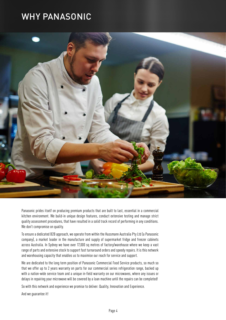### WHY PANASONIC



Panasonic prides itself on producing premium products that are built to last, essential in a commercial kitchen environment. We build-in unique design features, conduct extensive testing and manage strict quality assessment procedures, that have resulted in a solid track record of performing in any conditions. We don't compromise on quality.

To ensure a dedicated B2B approach, we operate from within the Hussmann Australia Pty Ltd (a Panasonic company), a market leader in the manufacture and supply of supermarket fridge and freezer cabinets across Australia. In Sydney we have over 17,000 sq metres of factory/warehouse where we keep a vast range of parts and extensive stock to support fast turnaround orders and speedy repairs. It is this network and warehousing capacity that enables us to maximise our reach for service and support.

We are dedicated to the long term position of Panasonic Commercial Food Service products, so much so that we offer up to 2 years warranty on parts for our commercial series refrigeration range, backed up with a nation-wide service team and a unique in-field warranty on our microwaves, where any issues or delays in repairing your microwave will be covered by a loan machine until the repairs can be completed!

So with this network and experience we promise to deliver: Quality, Innovation and Experience.

And we guarantee it!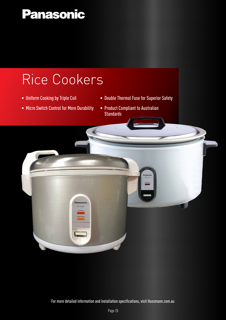### Panasonic

## Rice Cookers

- Uniform Cooking by Triple Coil
- Micro Switch Control for More Durability
- Double Thermal Fuse for Superior Safety
- Product Compliant to Australian **Standards**

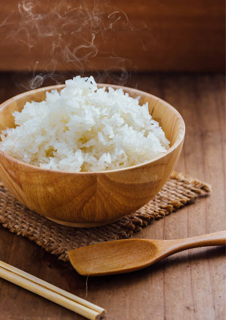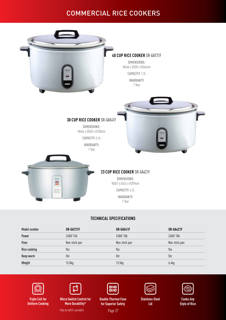#### COMMERCIAL RICE COOKERS



#### **TECHNICAL SPECIFICATIONS**

| Model number | <b>SR-GA721F</b>   | SR-GA541F          | <b>SR-GA421F</b> |
|--------------|--------------------|--------------------|------------------|
| Power        | 240V/15A           | 240V/10A           | 240V/10A         |
| Pans         | Non-stick pan      | Non-stick pan      | Non-stick pan    |
| Rice cooking | Yes                | Yes                | Yes              |
| Keep warm    | 5hr                | 5hr                | 5hr              |
| Weight       | 15.0 <sub>kg</sub> | 13.5 <sub>kg</sub> | 6.4kg            |



**Triple Coil for Uniform Cooking** 



**Micro Switch Control for More Durability\*** \*Only for GA721 and GA541



**Double Thermal Fuse for Superior Safety**

Page 27



**Stainless Steel Lid**



**Cooks Any Style of Rice**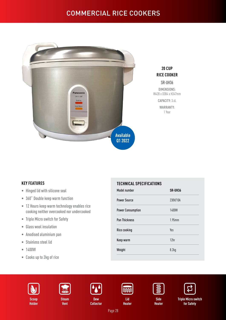#### COMMERCIAL RICE COOKERS



- Hinged lid with silicone seal
- 360˚ Double keep warm function
- 12 Hours keep warm technology enables rice cooking neither overcooked nor undercooked
- Triple Micro switch for Safety
- Glass wool insulation
- Anodised aluminium pan
- Stainless steel lid
- 1400W
- Cooks up to 2kg of rice

#### **KEY FEATURES TECHNICAL SPECIFICATIONS**

| Model number             | SR-UH36          |
|--------------------------|------------------|
| <b>Power Source</b>      | 230V/10A         |
| <b>Power Consumption</b> | 1400W            |
| <b>Pan Thickness</b>     | $1.95$ mm        |
| Rice cooking             | Yes              |
| Keep warm                | 12 <sub>hr</sub> |
| Weight                   | 8.2kg            |



**Scoop Holder**



**Vent**



**Dew Collector**

**Lid Heater**







**Triple Micro switch for Safety**

Page 28